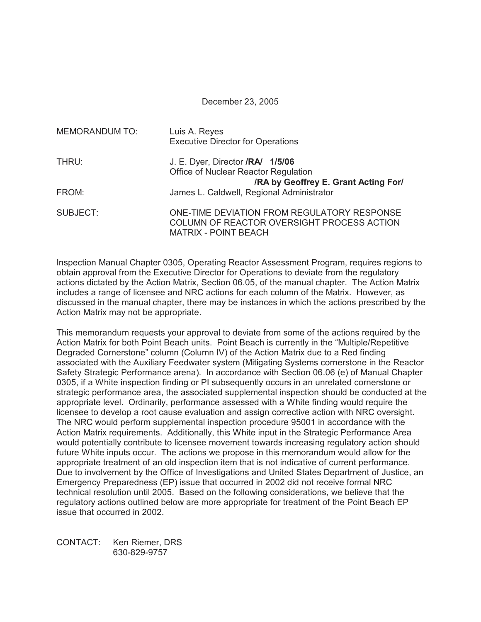### December 23, 2005

| <b>MEMORANDUM TO:</b> | Luis A. Reyes<br><b>Executive Director for Operations</b>                                                                |
|-----------------------|--------------------------------------------------------------------------------------------------------------------------|
| THRU:                 | J. E. Dyer, Director <b>/RA/ 1/5/06</b><br>Office of Nuclear Reactor Regulation<br>/RA by Geoffrey E. Grant Acting For/  |
| FROM:                 | James L. Caldwell, Regional Administrator                                                                                |
| SUBJECT:              | ONE-TIME DEVIATION FROM REGULATORY RESPONSE<br>COLUMN OF REACTOR OVERSIGHT PROCESS ACTION<br><b>MATRIX - POINT BEACH</b> |

Inspection Manual Chapter 0305, Operating Reactor Assessment Program, requires regions to obtain approval from the Executive Director for Operations to deviate from the regulatory actions dictated by the Action Matrix, Section 06.05, of the manual chapter. The Action Matrix includes a range of licensee and NRC actions for each column of the Matrix. However, as discussed in the manual chapter, there may be instances in which the actions prescribed by the Action Matrix may not be appropriate.

This memorandum requests your approval to deviate from some of the actions required by the Action Matrix for both Point Beach units. Point Beach is currently in the "Multiple/Repetitive Degraded Cornerstone" column (Column IV) of the Action Matrix due to a Red finding associated with the Auxiliary Feedwater system (Mitigating Systems cornerstone in the Reactor Safety Strategic Performance arena). In accordance with Section 06.06 (e) of Manual Chapter 0305, if a White inspection finding or PI subsequently occurs in an unrelated cornerstone or strategic performance area, the associated supplemental inspection should be conducted at the appropriate level. Ordinarily, performance assessed with a White finding would require the licensee to develop a root cause evaluation and assign corrective action with NRC oversight. The NRC would perform supplemental inspection procedure 95001 in accordance with the Action Matrix requirements. Additionally, this White input in the Strategic Performance Area would potentially contribute to licensee movement towards increasing regulatory action should future White inputs occur. The actions we propose in this memorandum would allow for the appropriate treatment of an old inspection item that is not indicative of current performance. Due to involvement by the Office of Investigations and United States Department of Justice, an Emergency Preparedness (EP) issue that occurred in 2002 did not receive formal NRC technical resolution until 2005. Based on the following considerations, we believe that the regulatory actions outlined below are more appropriate for treatment of the Point Beach EP issue that occurred in 2002.

CONTACT: Ken Riemer, DRS 630-829-9757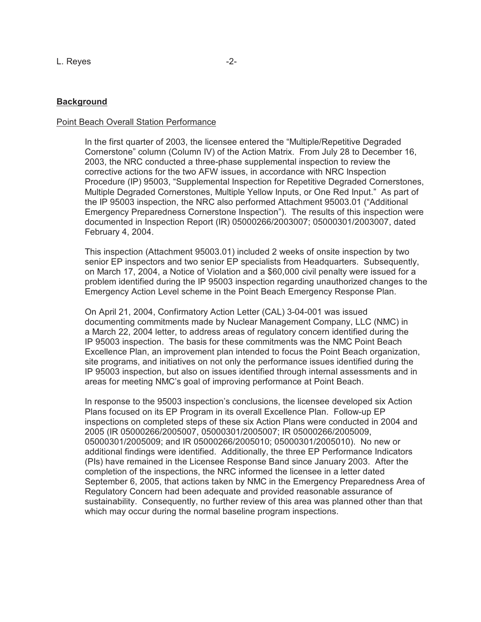# **Background**

### Point Beach Overall Station Performance

In the first quarter of 2003, the licensee entered the "Multiple/Repetitive Degraded Cornerstone" column (Column IV) of the Action Matrix. From July 28 to December 16, 2003, the NRC conducted a three-phase supplemental inspection to review the corrective actions for the two AFW issues, in accordance with NRC Inspection Procedure (IP) 95003, "Supplemental Inspection for Repetitive Degraded Cornerstones, Multiple Degraded Cornerstones, Multiple Yellow Inputs, or One Red Input." As part of the IP 95003 inspection, the NRC also performed Attachment 95003.01 ("Additional Emergency Preparedness Cornerstone Inspection"). The results of this inspection were documented in Inspection Report (IR) 05000266/2003007; 05000301/2003007, dated February 4, 2004.

This inspection (Attachment 95003.01) included 2 weeks of onsite inspection by two senior EP inspectors and two senior EP specialists from Headquarters. Subsequently, on March 17, 2004, a Notice of Violation and a \$60,000 civil penalty were issued for a problem identified during the IP 95003 inspection regarding unauthorized changes to the Emergency Action Level scheme in the Point Beach Emergency Response Plan.

On April 21, 2004, Confirmatory Action Letter (CAL) 3-04-001 was issued documenting commitments made by Nuclear Management Company, LLC (NMC) in a March 22, 2004 letter, to address areas of regulatory concern identified during the IP 95003 inspection. The basis for these commitments was the NMC Point Beach Excellence Plan, an improvement plan intended to focus the Point Beach organization, site programs, and initiatives on not only the performance issues identified during the IP 95003 inspection, but also on issues identified through internal assessments and in areas for meeting NMC's goal of improving performance at Point Beach.

In response to the 95003 inspection's conclusions, the licensee developed six Action Plans focused on its EP Program in its overall Excellence Plan. Follow-up EP inspections on completed steps of these six Action Plans were conducted in 2004 and 2005 (IR 05000266/2005007, 05000301/2005007; IR 05000266/2005009, 05000301/2005009; and IR 05000266/2005010; 05000301/2005010). No new or additional findings were identified. Additionally, the three EP Performance Indicators (PIs) have remained in the Licensee Response Band since January 2003. After the completion of the inspections, the NRC informed the licensee in a letter dated September 6, 2005, that actions taken by NMC in the Emergency Preparedness Area of Regulatory Concern had been adequate and provided reasonable assurance of sustainability. Consequently, no further review of this area was planned other than that which may occur during the normal baseline program inspections.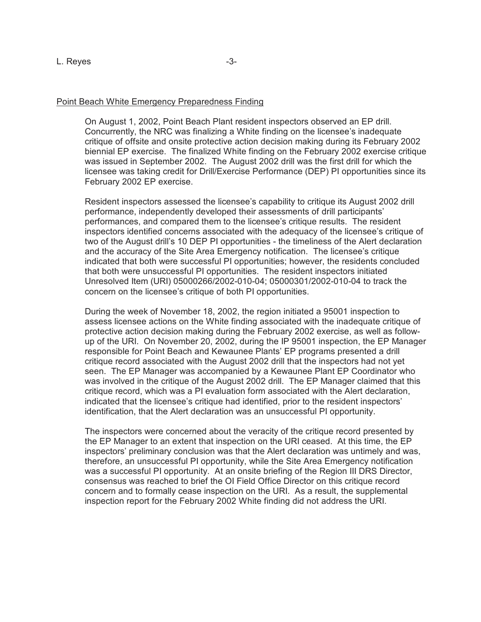### Point Beach White Emergency Preparedness Finding

On August 1, 2002, Point Beach Plant resident inspectors observed an EP drill. Concurrently, the NRC was finalizing a White finding on the licensee's inadequate critique of offsite and onsite protective action decision making during its February 2002 biennial EP exercise. The finalized White finding on the February 2002 exercise critique was issued in September 2002. The August 2002 drill was the first drill for which the licensee was taking credit for Drill/Exercise Performance (DEP) PI opportunities since its February 2002 EP exercise.

Resident inspectors assessed the licensee's capability to critique its August 2002 drill performance, independently developed their assessments of drill participants' performances, and compared them to the licensee's critique results. The resident inspectors identified concerns associated with the adequacy of the licensee's critique of two of the August drill's 10 DEP PI opportunities - the timeliness of the Alert declaration and the accuracy of the Site Area Emergency notification. The licensee's critique indicated that both were successful PI opportunities; however, the residents concluded that both were unsuccessful PI opportunities. The resident inspectors initiated Unresolved Item (URI) 05000266/2002-010-04; 05000301/2002-010-04 to track the concern on the licensee's critique of both PI opportunities.

During the week of November 18, 2002, the region initiated a 95001 inspection to assess licensee actions on the White finding associated with the inadequate critique of protective action decision making during the February 2002 exercise, as well as followup of the URI. On November 20, 2002, during the IP 95001 inspection, the EP Manager responsible for Point Beach and Kewaunee Plants' EP programs presented a drill critique record associated with the August 2002 drill that the inspectors had not yet seen. The EP Manager was accompanied by a Kewaunee Plant EP Coordinator who was involved in the critique of the August 2002 drill. The EP Manager claimed that this critique record, which was a PI evaluation form associated with the Alert declaration, indicated that the licensee's critique had identified, prior to the resident inspectors' identification, that the Alert declaration was an unsuccessful PI opportunity.

The inspectors were concerned about the veracity of the critique record presented by the EP Manager to an extent that inspection on the URI ceased. At this time, the EP inspectors' preliminary conclusion was that the Alert declaration was untimely and was, therefore, an unsuccessful PI opportunity, while the Site Area Emergency notification was a successful PI opportunity. At an onsite briefing of the Region III DRS Director, consensus was reached to brief the OI Field Office Director on this critique record concern and to formally cease inspection on the URI. As a result, the supplemental inspection report for the February 2002 White finding did not address the URI.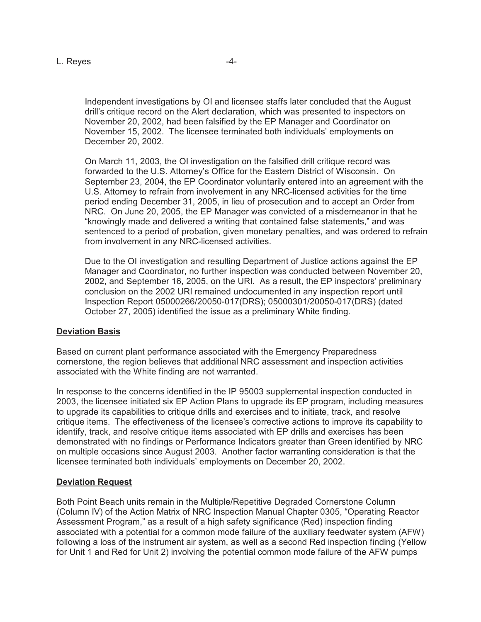Independent investigations by OI and licensee staffs later concluded that the August drill's critique record on the Alert declaration, which was presented to inspectors on November 20, 2002, had been falsified by the EP Manager and Coordinator on November 15, 2002. The licensee terminated both individuals' employments on December 20, 2002.

On March 11, 2003, the OI investigation on the falsified drill critique record was forwarded to the U.S. Attorney's Office for the Eastern District of Wisconsin. On September 23, 2004, the EP Coordinator voluntarily entered into an agreement with the U.S. Attorney to refrain from involvement in any NRC-licensed activities for the time period ending December 31, 2005, in lieu of prosecution and to accept an Order from NRC. On June 20, 2005, the EP Manager was convicted of a misdemeanor in that he "knowingly made and delivered a writing that contained false statements," and was sentenced to a period of probation, given monetary penalties, and was ordered to refrain from involvement in any NRC-licensed activities.

Due to the OI investigation and resulting Department of Justice actions against the EP Manager and Coordinator, no further inspection was conducted between November 20, 2002, and September 16, 2005, on the URI. As a result, the EP inspectors' preliminary conclusion on the 2002 URI remained undocumented in any inspection report until Inspection Report 05000266/20050-017(DRS); 05000301/20050-017(DRS) (dated October 27, 2005) identified the issue as a preliminary White finding.

# **Deviation Basis**

Based on current plant performance associated with the Emergency Preparedness cornerstone, the region believes that additional NRC assessment and inspection activities associated with the White finding are not warranted.

In response to the concerns identified in the IP 95003 supplemental inspection conducted in 2003, the licensee initiated six EP Action Plans to upgrade its EP program, including measures to upgrade its capabilities to critique drills and exercises and to initiate, track, and resolve critique items. The effectiveness of the licensee's corrective actions to improve its capability to identify, track, and resolve critique items associated with EP drills and exercises has been demonstrated with no findings or Performance Indicators greater than Green identified by NRC on multiple occasions since August 2003. Another factor warranting consideration is that the licensee terminated both individuals' employments on December 20, 2002.

# **Deviation Request**

Both Point Beach units remain in the Multiple/Repetitive Degraded Cornerstone Column (Column IV) of the Action Matrix of NRC Inspection Manual Chapter 0305, "Operating Reactor Assessment Program," as a result of a high safety significance (Red) inspection finding associated with a potential for a common mode failure of the auxiliary feedwater system (AFW) following a loss of the instrument air system, as well as a second Red inspection finding (Yellow for Unit 1 and Red for Unit 2) involving the potential common mode failure of the AFW pumps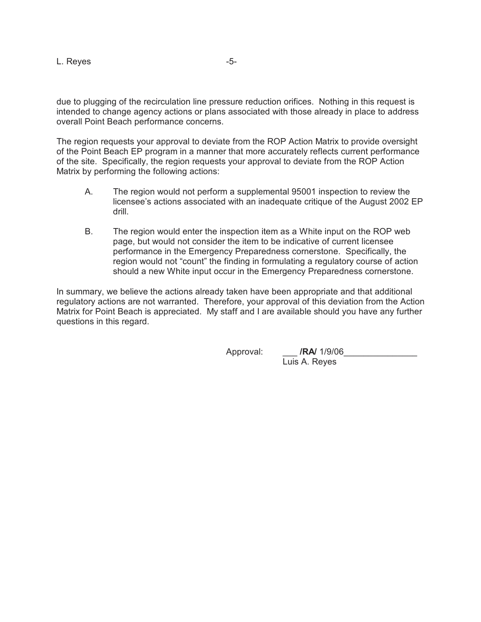due to plugging of the recirculation line pressure reduction orifices. Nothing in this request is intended to change agency actions or plans associated with those already in place to address overall Point Beach performance concerns.

The region requests your approval to deviate from the ROP Action Matrix to provide oversight of the Point Beach EP program in a manner that more accurately reflects current performance of the site. Specifically, the region requests your approval to deviate from the ROP Action Matrix by performing the following actions:

- A. The region would not perform a supplemental 95001 inspection to review the licensee's actions associated with an inadequate critique of the August 2002 EP drill.
- B. The region would enter the inspection item as a White input on the ROP web page, but would not consider the item to be indicative of current licensee performance in the Emergency Preparedness cornerstone. Specifically, the region would not "count" the finding in formulating a regulatory course of action should a new White input occur in the Emergency Preparedness cornerstone.

In summary, we believe the actions already taken have been appropriate and that additional regulatory actions are not warranted. Therefore, your approval of this deviation from the Action Matrix for Point Beach is appreciated. My staff and I are available should you have any further questions in this regard.

Approval: \_\_\_ **/RA/** 1/9/06\_\_\_\_\_\_\_\_\_\_\_\_\_\_\_

Luis A. Reyes